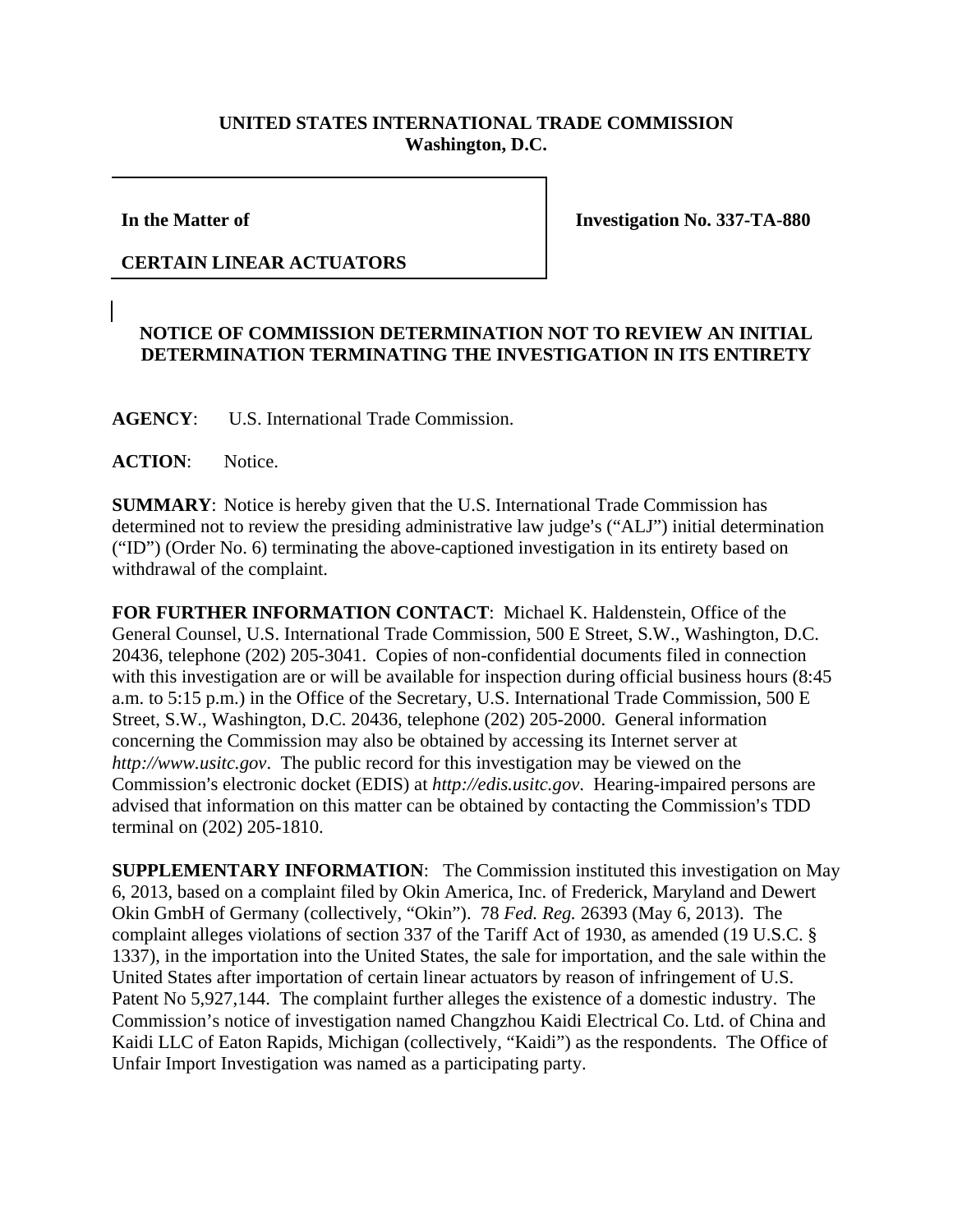## **UNITED STATES INTERNATIONAL TRADE COMMISSION Washington, D.C.**

**In the Matter of** 

**Investigation No. 337-TA-880** 

## **CERTAIN LINEAR ACTUATORS**

## **NOTICE OF COMMISSION DETERMINATION NOT TO REVIEW AN INITIAL DETERMINATION TERMINATING THE INVESTIGATION IN ITS ENTIRETY**

**AGENCY**: U.S. International Trade Commission.

## **ACTION**: Notice.

**SUMMARY**: Notice is hereby given that the U.S. International Trade Commission has determined not to review the presiding administrative law judge's ("ALJ") initial determination ("ID") (Order No. 6) terminating the above-captioned investigation in its entirety based on withdrawal of the complaint.

**FOR FURTHER INFORMATION CONTACT**: Michael K. Haldenstein, Office of the General Counsel, U.S. International Trade Commission, 500 E Street, S.W., Washington, D.C. 20436, telephone (202) 205-3041. Copies of non-confidential documents filed in connection with this investigation are or will be available for inspection during official business hours (8:45 a.m. to 5:15 p.m.) in the Office of the Secretary, U.S. International Trade Commission, 500 E Street, S.W., Washington, D.C. 20436, telephone (202) 205-2000. General information concerning the Commission may also be obtained by accessing its Internet server at *http://www.usitc.gov*. The public record for this investigation may be viewed on the Commission's electronic docket (EDIS) at *http://edis.usitc.gov*. Hearing-impaired persons are advised that information on this matter can be obtained by contacting the Commission's TDD terminal on (202) 205-1810.

**SUPPLEMENTARY INFORMATION**: The Commission instituted this investigation on May 6, 2013, based on a complaint filed by Okin America, Inc. of Frederick, Maryland and Dewert Okin GmbH of Germany (collectively, "Okin"). 78 *Fed. Reg.* 26393 (May 6, 2013). The complaint alleges violations of section 337 of the Tariff Act of 1930, as amended (19 U.S.C. § 1337), in the importation into the United States, the sale for importation, and the sale within the United States after importation of certain linear actuators by reason of infringement of U.S. Patent No 5,927,144. The complaint further alleges the existence of a domestic industry. The Commission's notice of investigation named Changzhou Kaidi Electrical Co. Ltd. of China and Kaidi LLC of Eaton Rapids, Michigan (collectively, "Kaidi") as the respondents. The Office of Unfair Import Investigation was named as a participating party.